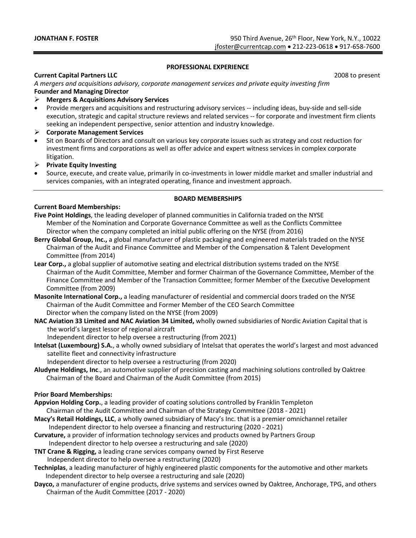#### **PROFESSIONAL EXPERIENCE**

#### **Current Capital Partners LLC** 2008 to present

*A mergers and acquisitions advisory, corporate management services and private equity investing firm*  **Founder and Managing Director**

#### ➢ **Mergers & Acquisitions Advisory Services**

• Provide mergers and acquisitions and restructuring advisory services -- including ideas, buy-side and sell-side execution, strategic and capital structure reviews and related services -- for corporate and investment firm clients seeking an independent perspective, senior attention and industry knowledge.

#### ➢ **Corporate Management Services**

• Sit on Boards of Directors and consult on various key corporate issues such as strategy and cost reduction for investment firms and corporations as well as offer advice and expert witness services in complex corporate litigation.

➢ **Private Equity Investing**

• Source, execute, and create value, primarily in co-investments in lower middle market and smaller industrial and services companies, with an integrated operating, finance and investment approach.

#### **BOARD MEMBERSHIPS**

#### **Current Board Memberships:**

- **Five Point Holdings**, the leading developer of planned communities in California traded on the NYSE Member of the Nomination and Corporate Governance Committee as well as the Conflicts Committee Director when the company completed an initial public offering on the NYSE (from 2016)
- **Berry Global Group, Inc.,** a global manufacturer of plastic packaging and engineered materials traded on the NYSE Chairman of the Audit and Finance Committee and Member of the Compensation & Talent Development Committee (from 2014)
- **Lear Corp.,** a global supplier of automotive seating and electrical distribution systems traded on the NYSE Chairman of the Audit Committee, Member and former Chairman of the Governance Committee, Member of the Finance Committee and Member of the Transaction Committee; former Member of the Executive Development Committee (from 2009)
- **Masonite International Corp.,** a leading manufacturer of residential and commercial doors traded on the NYSE Chairman of the Audit Committee and Former Member of the CEO Search Committee Director when the company listed on the NYSE (from 2009)
- **NAC Aviation 33 Limited and NAC Aviation 34 Limited,** wholly owned subsidiaries of Nordic Aviation Capital that is the world's largest lessor of regional aircraft
	- Independent director to help oversee a restructuring (from 2021)
- **Intelsat (Luxembourg) S.A.**, a wholly owned subsidiary of Intelsat that operates the world's largest and most advanced satellite fleet and connectivity infrastructure
	- Independent director to help oversee a restructuring (from 2020)
- **Aludyne Holdings, Inc**., an automotive supplier of precision casting and machining solutions controlled by Oaktree Chairman of the Board and Chairman of the Audit Committee (from 2015)

#### **Prior Board Memberships:**

- **Appvion Holding Corp.**, a leading provider of coating solutions controlled by Franklin Templeton
- Chairman of the Audit Committee and Chairman of the Strategy Committee (2018 2021) **Macy's Retail Holdings, LLC**, a wholly owned subsidiary of Macy's Inc. that is a premier omnichannel retailer
- Independent director to help oversee a financing and restructuring (2020 2021)
- **Curvature,** a provider of information technology services and products owned by Partners Group Independent director to help oversee a restructuring and sale (2020)
- **TNT Crane & Rigging,** a leading crane services company owned by First Reserve Independent director to help oversee a restructuring (2020)
- **Techniplas**, a leading manufacturer of highly engineered plastic components for the automotive and other markets Independent director to help oversee a restructuring and sale (2020)
- **Dayco,** a manufacturer of engine products, drive systems and services owned by Oaktree, Anchorage, TPG, and others Chairman of the Audit Committee (2017 - 2020)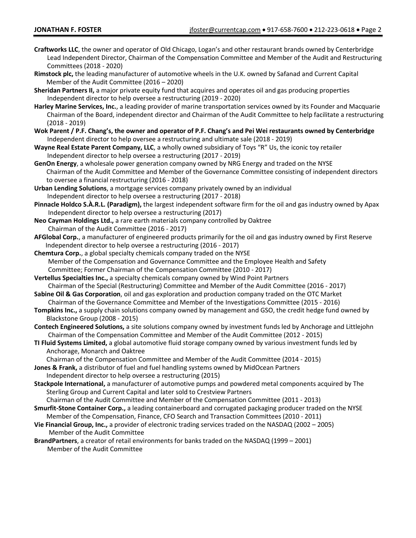- **Craftworks LLC**, the owner and operator of Old Chicago, Logan's and other restaurant brands owned by Centerbridge Lead Independent Director, Chairman of the Compensation Committee and Member of the Audit and Restructuring Committees (2018 - 2020)
- **Rimstock plc,** the leading manufacturer of automotive wheels in the U.K. owned by Safanad and Current Capital Member of the Audit Committee (2016 – 2020)
- **Sheridan Partners II,** a major private equity fund that acquires and operates oil and gas producing properties Independent director to help oversee a restructuring (2019 - 2020)
- **Harley Marine Services, Inc.**, a leading provider of marine transportation services owned by its Founder and Macquarie Chairman of the Board, independent director and Chairman of the Audit Committee to help facilitate a restructuring (2018 - 2019)
- **Wok Parent / P.F. Chang's, the owner and operator of P.F. Chang's and Pei Wei restaurants owned by Centerbridge**  Independent director to help oversee a restructuring and ultimate sale (2018 - 2019)
- **Wayne Real Estate Parent Company, LLC**, a wholly owned subsidiary of Toys "R" Us, the iconic toy retailer Independent director to help oversee a restructuring (2017 - 2019)
- **GenOn Energy**, a wholesale power generation company owned by NRG Energy and traded on the NYSE Chairman of the Audit Committee and Member of the Governance Committee consisting of independent directors to oversee a financial restructuring (2016 - 2018)
- **Urban Lending Solutions**, a mortgage services company privately owned by an individual Independent director to help oversee a restructuring (2017 - 2018)
- **Pinnacle Holdco S.À.R.L. (Paradigm),** the largest independent software firm for the oil and gas industry owned by Apax Independent director to help oversee a restructuring (2017)
- **Neo Cayman Holdings Ltd.,** a rare earth materials company controlled by Oaktree Chairman of the Audit Committee (2016 - 2017)
- **AFGlobal Corp.**, a manufacturer of engineered products primarily for the oil and gas industry owned by First Reserve Independent director to help oversee a restructuring (2016 - 2017)
- **Chemtura Corp.**, a global specialty chemicals company traded on the NYSE Member of the Compensation and Governance Committee and the Employee Health and Safety Committee; Former Chairman of the Compensation Committee (2010 - 2017)
- **Vertellus Specialties Inc.,** a specialty chemicals company owned by Wind Point Partners Chairman of the Special (Restructuring) Committee and Member of the Audit Committee (2016 - 2017)
- **Sabine Oil & Gas Corporation**, oil and gas exploration and production company traded on the OTC Market Chairman of the Governance Committee and Member of the Investigations Committee (2015 - 2016)
- **Tompkins Inc.,** a supply chain solutions company owned by management and GSO, the credit hedge fund owned by Blackstone Group (2008 - 2015)
- **Contech Engineered Solutions,** a site solutions company owned by investment funds led by Anchorage and Littlejohn Chairman of the Compensation Committee and Member of the Audit Committee (2012 - 2015)
- **TI Fluid Systems Limited,** a global automotive fluid storage company owned by various investment funds led by Anchorage, Monarch and Oaktree
- Chairman of the Compensation Committee and Member of the Audit Committee (2014 2015)
- **Jones & Frank,** a distributor of fuel and fuel handling systems owned by MidOcean Partners Independent director to help oversee a restructuring (2015)
- **Stackpole International,** a manufacturer of automotive pumps and powdered metal components acquired by The Sterling Group and Current Capital and later sold to Crestview Partners
- Chairman of the Audit Committee and Member of the Compensation Committee (2011 2013)
- **Smurfit-Stone Container Corp.,** a leading containerboard and corrugated packaging producer traded on the NYSE Member of the Compensation, Finance, CFO Search and Transaction Committees (2010 - 2011)
- **Vie Financial Group, Inc.,** a provider of electronic trading services traded on the NASDAQ (2002 2005) Member of the Audit Committee
- **BrandPartners**, a creator of retail environments for banks traded on the NASDAQ (1999 2001) Member of the Audit Committee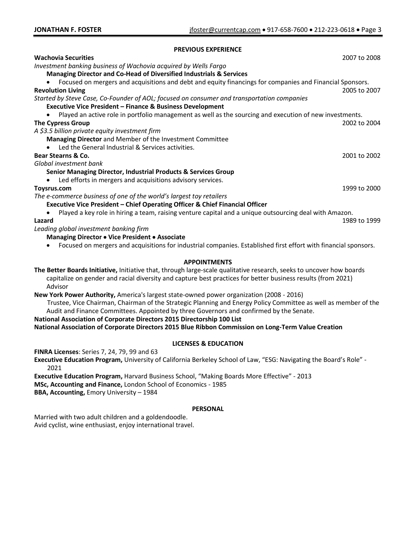#### **PREVIOUS EXPERIENCE**

| <b>Wachovia Securities</b>                                                                               | 2007 to 2008 |
|----------------------------------------------------------------------------------------------------------|--------------|
| Investment banking business of Wachovia acquired by Wells Fargo                                          |              |
| <b>Managing Director and Co-Head of Diversified Industrials &amp; Services</b>                           |              |
| Focused on mergers and acquisitions and debt and equity financings for companies and Financial Sponsors. |              |
| <b>Revolution Living</b>                                                                                 | 2005 to 2007 |
| Started by Steve Case, Co-Founder of AOL; focused on consumer and transportation companies               |              |
| <b>Executive Vice President - Finance &amp; Business Development</b>                                     |              |
| Played an active role in portfolio management as well as the sourcing and execution of new investments.  |              |
| <b>The Cypress Group</b>                                                                                 | 2002 to 2004 |
| A \$3.5 billion private equity investment firm                                                           |              |
| Managing Director and Member of the Investment Committee                                                 |              |
| Led the General Industrial & Services activities.                                                        |              |
| <b>Bear Stearns &amp; Co.</b>                                                                            | 2001 to 2002 |
| Global investment bank                                                                                   |              |
| <b>Senior Managing Director, Industrial Products &amp; Services Group</b>                                |              |
| Led efforts in mergers and acquisitions advisory services.                                               |              |
| Toysrus.com                                                                                              | 1999 to 2000 |
| The e-commerce business of one of the world's largest toy retailers                                      |              |
| <b>Executive Vice President - Chief Operating Officer &amp; Chief Financial Officer</b>                  |              |
| Played a key role in hiring a team, raising venture capital and a unique outsourcing deal with Amazon.   |              |
| Lazard                                                                                                   | 1989 to 1999 |
| Leading global investment banking firm                                                                   |              |
| Managing Director • Vice President • Associate                                                           |              |
|                                                                                                          |              |

• Focused on mergers and acquisitions for industrial companies. Established first effort with financial sponsors.

#### **APPOINTMENTS**

**The Better Boards Initiative,** Initiative that, through large-scale qualitative research, seeks to uncover how boards capitalize on gender and racial diversity and capture best practices for better business results (from 2021) Advisor

**New York Power Authority,** America's largest state-owned power organization (2008 - 2016)

 Trustee, Vice Chairman, Chairman of the Strategic Planning and Energy Policy Committee as well as member of the Audit and Finance Committees. Appointed by three Governors and confirmed by the Senate.

**National Association of Corporate Directors 2015 Directorship 100 List National Association of Corporate Directors 2015 Blue Ribbon Commission on Long-Term Value Creation**

#### **LICENSES & EDUCATION**

**FINRA Licenses**: Series 7, 24, 79, 99 and 63

**Executive Education Program,** University of California Berkeley School of Law, "ESG: Navigating the Board's Role" - 2021

**Executive Education Program,** Harvard Business School, "Making Boards More Effective" - 2013

**MSc, Accounting and Finance,** London School of Economics - 1985

**BBA, Accounting,** Emory University – 1984

#### **PERSONAL**

Married with two adult children and a goldendoodle. Avid cyclist, wine enthusiast, enjoy international travel.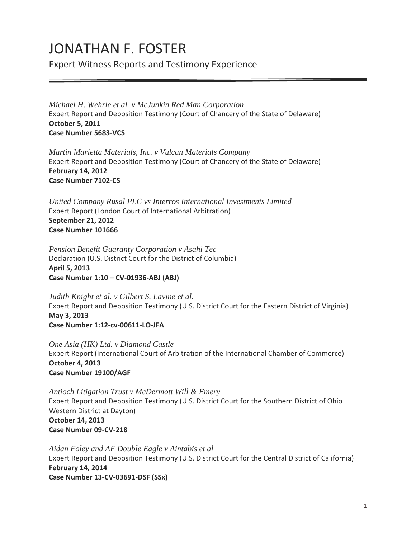# JONATHAN F. FOSTER

Expert Witness Reports and Testimony Experience

*Michael H. Wehrle et al. v McJunkin Red Man Corporation* Expert Report and Deposition Testimony (Court of Chancery of the State of Delaware) **October 5, 2011 Case Number 5683-VCS**

*Martin Marietta Materials, Inc. v Vulcan Materials Company* Expert Report and Deposition Testimony (Court of Chancery of the State of Delaware) **February 14, 2012 Case Number 7102-CS** 

*United Company Rusal PLC vs Interros International Investments Limited* Expert Report (London Court of International Arbitration) **September 21, 2012 Case Number 101666**

*Pension Benefit Guaranty Corporation v Asahi Tec* Declaration (U.S. District Court for the District of Columbia) **April 5, 2013 Case Number 1:10 – CV-01936-ABJ (ABJ)**

*Judith Knight et al. v Gilbert S. Lavine et al.* Expert Report and Deposition Testimony (U.S. District Court for the Eastern District of Virginia) **May 3, 2013 Case Number 1:12-cv-00611-LO-JFA**

*One Asia (HK) Ltd. v Diamond Castle*  Expert Report (International Court of Arbitration of the International Chamber of Commerce) **October 4, 2013 Case Number 19100/AGF**

*Antioch Litigation Trust v McDermott Will & Emery* Expert Report and Deposition Testimony (U.S. District Court for the Southern District of Ohio Western District at Dayton) **October 14, 2013 Case Number 09-CV-218**

*Aidan Foley and AF Double Eagle v Aintabis et al* Expert Report and Deposition Testimony (U.S. District Court for the Central District of California) **February 14, 2014 Case Number 13-CV-03691-DSF (SSx)**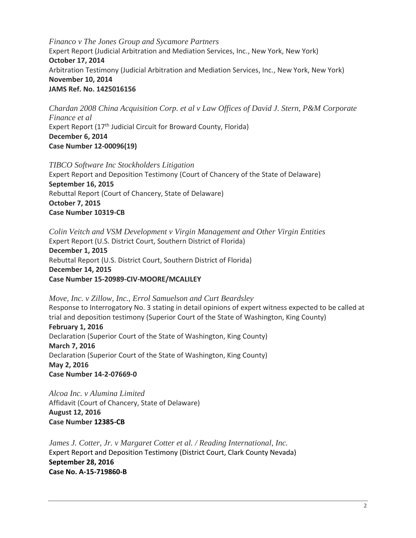*Financo v The Jones Group and Sycamore Partners* Expert Report (Judicial Arbitration and Mediation Services, Inc., New York, New York) **October 17, 2014**  Arbitration Testimony (Judicial Arbitration and Mediation Services, Inc., New York, New York) **November 10, 2014 JAMS Ref. No. 1425016156**

*Chardan 2008 China Acquisition Corp. et al v Law Offices of David J. Stern, P&M Corporate Finance et al* Expert Report (17<sup>th</sup> Judicial Circuit for Broward County, Florida) **December 6, 2014 Case Number 12-00096(19)**

*TIBCO Software Inc Stockholders Litigation* Expert Report and Deposition Testimony (Court of Chancery of the State of Delaware) **September 16, 2015** Rebuttal Report (Court of Chancery, State of Delaware) **October 7, 2015 Case Number 10319-CB**

*Colin Veitch and VSM Development v Virgin Management and Other Virgin Entities* Expert Report (U.S. District Court, Southern District of Florida) **December 1, 2015** Rebuttal Report (U.S. District Court, Southern District of Florida) **December 14, 2015 Case Number 15-20989-CIV-MOORE/MCALILEY**

*Move, Inc. v Zillow, Inc., Errol Samuelson and Curt Beardsley* Response to Interrogatory No. 3 stating in detail opinions of expert witness expected to be called at trial and deposition testimony (Superior Court of the State of Washington, King County) **February 1, 2016** Declaration (Superior Court of the State of Washington, King County) **March 7, 2016** Declaration (Superior Court of the State of Washington, King County) **May 2, 2016 Case Number 14-2-07669-0**

*Alcoa Inc. v Alumina Limited* Affidavit (Court of Chancery, State of Delaware) **August 12, 2016 Case Number 12385-CB**

*James J. Cotter, Jr. v Margaret Cotter et al. / Reading International, Inc.* Expert Report and Deposition Testimony (District Court, Clark County Nevada) **September 28, 2016 Case No. A-15-719860-B**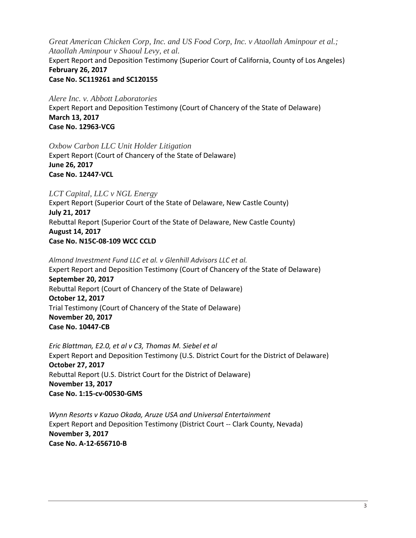*Great American Chicken Corp, Inc. and US Food Corp, Inc. v Ataollah Aminpour et al.; Ataollah Aminpour v Shaoul Levy, et al.* Expert Report and Deposition Testimony (Superior Court of California, County of Los Angeles) **February 26, 2017 Case No. SC119261 and SC120155**

*Alere Inc. v. Abbott Laboratories* Expert Report and Deposition Testimony (Court of Chancery of the State of Delaware) **March 13, 2017 Case No. 12963-VCG**

*Oxbow Carbon LLC Unit Holder Litigation*  Expert Report (Court of Chancery of the State of Delaware) **June 26, 2017 Case No. 12447-VCL**

*LCT Capital, LLC v NGL Energy*

Expert Report (Superior Court of the State of Delaware, New Castle County) **July 21, 2017** Rebuttal Report (Superior Court of the State of Delaware, New Castle County) **August 14, 2017 Case No. N15C-08-109 WCC CCLD**

*Almond Investment Fund LLC et al. v Glenhill Advisors LLC et al.* Expert Report and Deposition Testimony (Court of Chancery of the State of Delaware) **September 20, 2017** Rebuttal Report (Court of Chancery of the State of Delaware) **October 12, 2017** Trial Testimony (Court of Chancery of the State of Delaware) **November 20, 2017 Case No. 10447-CB**

*Eric Blattman, E2.0, et al v C3, Thomas M. Siebel et al* Expert Report and Deposition Testimony (U.S. District Court for the District of Delaware) **October 27, 2017** Rebuttal Report (U.S. District Court for the District of Delaware) **November 13, 2017 Case No. 1:15-cv-00530-GMS**

*Wynn Resorts v Kazuo Okada, Aruze USA and Universal Entertainment* Expert Report and Deposition Testimony (District Court -- Clark County, Nevada) **November 3, 2017 Case No. A-12-656710-B**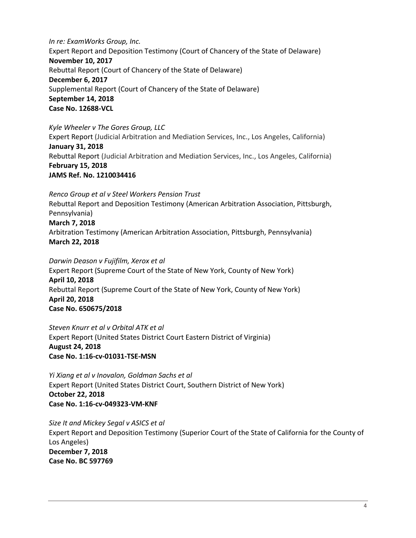*In re: ExamWorks Group, Inc.* Expert Report and Deposition Testimony (Court of Chancery of the State of Delaware) **November 10, 2017** Rebuttal Report (Court of Chancery of the State of Delaware) **December 6, 2017**  Supplemental Report (Court of Chancery of the State of Delaware) **September 14, 2018 Case No. 12688-VCL**

*Kyle Wheeler v The Gores Group, LLC*

Expert Report (Judicial Arbitration and Mediation Services, Inc., Los Angeles, California) **January 31, 2018** Rebuttal Report (Judicial Arbitration and Mediation Services, Inc., Los Angeles, California) **February 15, 2018 JAMS Ref. No. 1210034416**

*Renco Group et al v Steel Workers Pension Trust* Rebuttal Report and Deposition Testimony (American Arbitration Association, Pittsburgh, Pennsylvania) **March 7, 2018** Arbitration Testimony (American Arbitration Association, Pittsburgh, Pennsylvania) **March 22, 2018** 

*Darwin Deason v Fujifilm, Xerox et al* Expert Report (Supreme Court of the State of New York, County of New York) **April 10, 2018** Rebuttal Report (Supreme Court of the State of New York, County of New York) **April 20, 2018 Case No. 650675/2018**

*Steven Knurr et al v Orbital ATK et al* Expert Report (United States District Court Eastern District of Virginia) **August 24, 2018 Case No. 1:16-cv-01031-TSE-MSN**

*Yi Xiang et al v Inovalon, Goldman Sachs et al* Expert Report (United States District Court, Southern District of New York) **October 22, 2018 Case No. 1:16-cv-049323-VM-KNF**

*Size It and Mickey Segal v ASICS et al*  Expert Report and Deposition Testimony (Superior Court of the State of California for the County of Los Angeles) **December 7, 2018 Case No. BC 597769**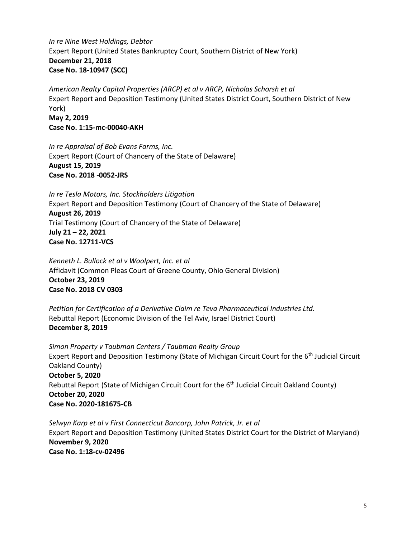*In re Nine West Holdings, Debtor* Expert Report (United States Bankruptcy Court, Southern District of New York) **December 21, 2018 Case No. 18-10947 (SCC)**

*American Realty Capital Properties (ARCP) et al v ARCP, Nicholas Schorsh et al* Expert Report and Deposition Testimony (United States District Court, Southern District of New York) **May 2, 2019 Case No. 1:15-mc-00040-AKH**

*In re Appraisal of Bob Evans Farms, Inc.*  Expert Report (Court of Chancery of the State of Delaware) **August 15, 2019 Case No. 2018 -0052-JRS**

*In re Tesla Motors, Inc. Stockholders Litigation*  Expert Report and Deposition Testimony (Court of Chancery of the State of Delaware) **August 26, 2019** Trial Testimony (Court of Chancery of the State of Delaware) **July 21 – 22, 2021 Case No. 12711-VCS**

*Kenneth L. Bullock et al v Woolpert, Inc. et al* Affidavit (Common Pleas Court of Greene County, Ohio General Division) **October 23, 2019 Case No. 2018 CV 0303**

*Petition for Certification of a Derivative Claim re Teva Pharmaceutical Industries Ltd.* Rebuttal Report (Economic Division of the Tel Aviv, Israel District Court) **December 8, 2019**

*Simon Property v Taubman Centers / Taubman Realty Group* Expert Report and Deposition Testimony (State of Michigan Circuit Court for the 6th Judicial Circuit Oakland County) **October 5, 2020** Rebuttal Report (State of Michigan Circuit Court for the  $6<sup>th</sup>$  Judicial Circuit Oakland County) **October 20, 2020 Case No. 2020-181675-CB**

*Selwyn Karp et al v First Connecticut Bancorp, John Patrick, Jr. et al*  Expert Report and Deposition Testimony (United States District Court for the District of Maryland) **November 9, 2020 Case No. 1:18-cv-02496**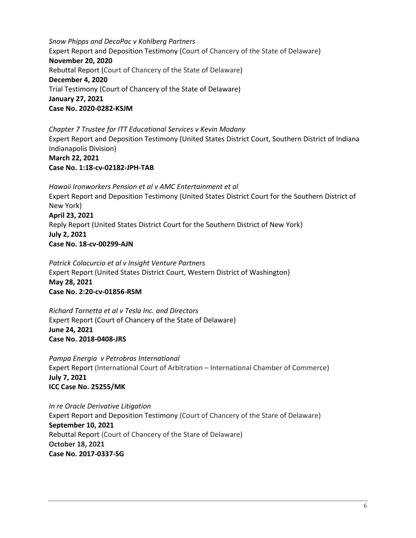*Snow Phipps and DecoPac v Kohlberg Partners*  Expert Report and Deposition Testimony (Court of Chancery of the State of Delaware) **November 20, 2020** Rebuttal Report (Court of Chancery of the State of Delaware) **December 4, 2020** Trial Testimony (Court of Chancery of the State of Delaware) **January 27, 2021 Case No. 2020-0282-KSJM**

*Chapter 7 Trustee for ITT Educational Services v Kevin Modany*  Expert Report and Deposition Testimony (United States District Court, Southern District of Indiana Indianapolis Division) **March 22, 2021 Case No. 1:18-cv-02182-JPH-TAB**

*Hawaii Ironworkers Pension et al v AMC Entertainment et al* Expert Report and Deposition Testimony (United States District Court for the Southern District of New York) **April 23, 2021** Reply Report (United States District Court for the Southern District of New York) **July 2, 2021 Case No. 18-cv-00299-AJN**

*Patrick Colacurcio et al v Insight Venture Partners*  Expert Report (United States District Court, Western District of Washington) **May 28, 2021 Case No. 2:20-cv-01856-RSM**

*Richard Tornetta et al v Tesla Inc. and Directors*  Expert Report (Court of Chancery of the State of Delaware) **June 24, 2021 Case No. 2018-0408-JRS**

*Pampa Energia v Petrobras International*  Expert Report (International Court of Arbitration – International Chamber of Commerce) **July 7, 2021 ICC Case No. 25255/MK**

*In re Oracle Derivative Litigation*  Expert Report and Deposition Testimony (Court of Chancery of the Stare of Delaware) **September 10, 2021** Rebuttal Report (Court of Chancery of the Stare of Delaware) **October 18, 2021 Case No. 2017-0337-SG**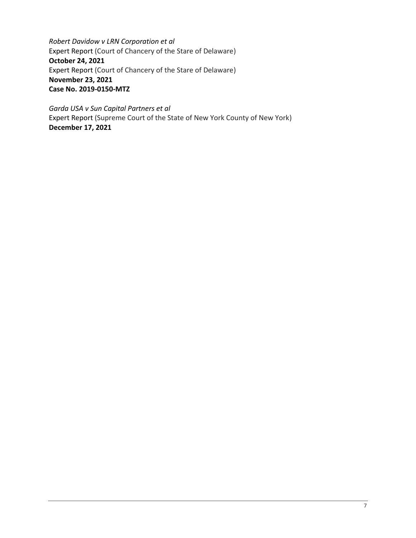*Robert Davidow v LRN Corporation et al*  Expert Report (Court of Chancery of the Stare of Delaware) **October 24, 2021** Expert Report (Court of Chancery of the Stare of Delaware) **November 23, 2021 Case No. 2019-0150-MTZ**

*Garda USA v Sun Capital Partners et al*  Expert Report (Supreme Court of the State of New York County of New York) **December 17, 2021**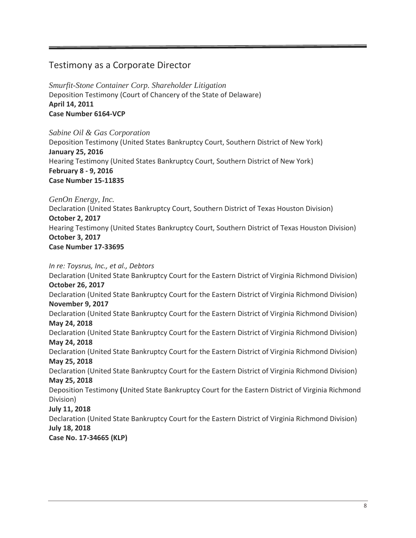## Testimony as a Corporate Director

*Smurfit-Stone Container Corp. Shareholder Litigation* Deposition Testimony (Court of Chancery of the State of Delaware) **April 14, 2011 Case Number 6164-VCP**

*Sabine Oil & Gas Corporation* Deposition Testimony (United States Bankruptcy Court, Southern District of New York) **January 25, 2016** Hearing Testimony (United States Bankruptcy Court, Southern District of New York) **February 8 - 9, 2016 Case Number 15-11835**

*GenOn Energy, Inc.*

Declaration (United States Bankruptcy Court, Southern District of Texas Houston Division) **October 2, 2017** Hearing Testimony (United States Bankruptcy Court, Southern District of Texas Houston Division) **October 3, 2017 Case Number 17-33695**

*In re: Toysrus, Inc., et al., Debtors*

Declaration (United State Bankruptcy Court for the Eastern District of Virginia Richmond Division) **October 26, 2017** Declaration (United State Bankruptcy Court for the Eastern District of Virginia Richmond Division) **November 9, 2017** Declaration (United State Bankruptcy Court for the Eastern District of Virginia Richmond Division) **May 24, 2018**  Declaration (United State Bankruptcy Court for the Eastern District of Virginia Richmond Division) **May 24, 2018**  Declaration (United State Bankruptcy Court for the Eastern District of Virginia Richmond Division) **May 25, 2018**  Declaration (United State Bankruptcy Court for the Eastern District of Virginia Richmond Division) **May 25, 2018**  Deposition Testimony **(**United State Bankruptcy Court for the Eastern District of Virginia Richmond Division) **July 11, 2018** Declaration (United State Bankruptcy Court for the Eastern District of Virginia Richmond Division) **July 18, 2018** 

**Case No. 17-34665 (KLP)**